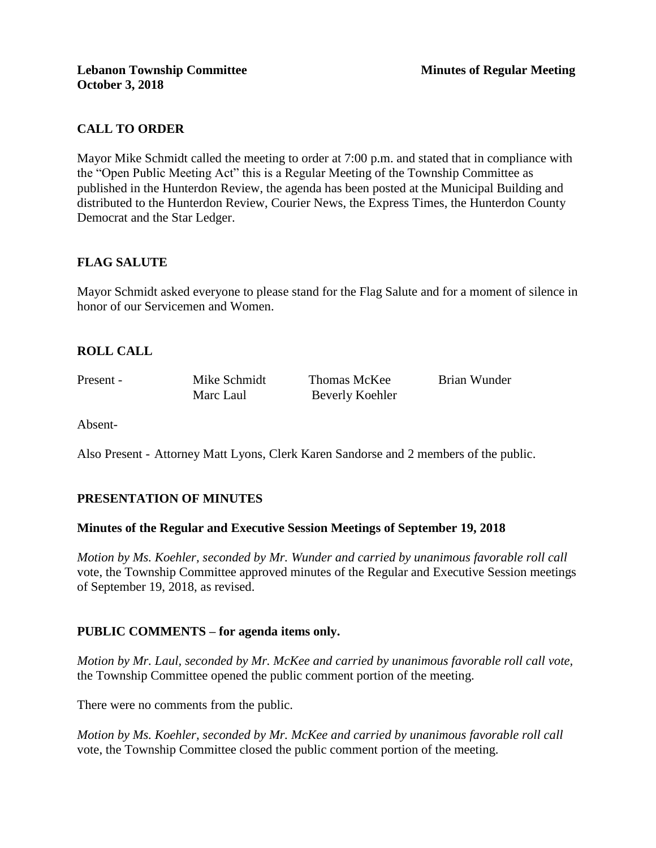# **CALL TO ORDER**

Mayor Mike Schmidt called the meeting to order at 7:00 p.m. and stated that in compliance with the "Open Public Meeting Act" this is a Regular Meeting of the Township Committee as published in the Hunterdon Review, the agenda has been posted at the Municipal Building and distributed to the Hunterdon Review, Courier News, the Express Times, the Hunterdon County Democrat and the Star Ledger.

# **FLAG SALUTE**

Mayor Schmidt asked everyone to please stand for the Flag Salute and for a moment of silence in honor of our Servicemen and Women.

# **ROLL CALL**

Present - Mike Schmidt Thomas McKee Brian Wunder Marc Laul Beverly Koehler

Absent-

Also Present - Attorney Matt Lyons, Clerk Karen Sandorse and 2 members of the public.

# **PRESENTATION OF MINUTES**

#### **Minutes of the Regular and Executive Session Meetings of September 19, 2018**

*Motion by Ms. Koehler, seconded by Mr. Wunder and carried by unanimous favorable roll call*  vote, the Township Committee approved minutes of the Regular and Executive Session meetings of September 19, 2018, as revised.

#### **PUBLIC COMMENTS – for agenda items only.**

*Motion by Mr. Laul, seconded by Mr. McKee and carried by unanimous favorable roll call vote,* the Township Committee opened the public comment portion of the meeting.

There were no comments from the public.

*Motion by Ms. Koehler, seconded by Mr. McKee and carried by unanimous favorable roll call*  vote, the Township Committee closed the public comment portion of the meeting.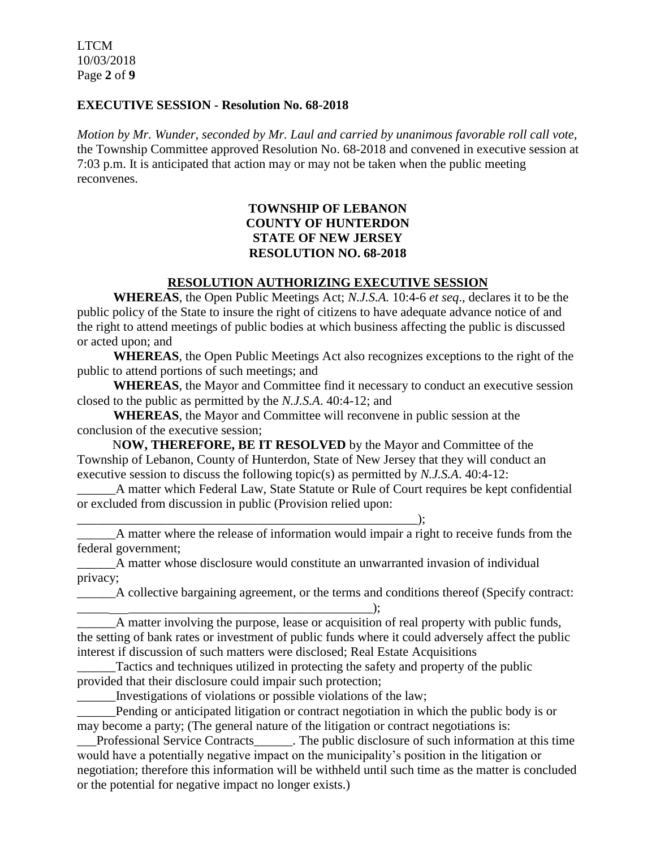LTCM 10/03/2018 Page **2** of **9**

#### **EXECUTIVE SESSION - Resolution No. 68-2018**

*Motion by Mr. Wunder, seconded by Mr. Laul and carried by unanimous favorable roll call vote,* the Township Committee approved Resolution No. 68-2018 and convened in executive session at 7:03 p.m. It is anticipated that action may or may not be taken when the public meeting reconvenes.

# **TOWNSHIP OF LEBANON COUNTY OF HUNTERDON STATE OF NEW JERSEY RESOLUTION NO. 68-2018**

# **RESOLUTION AUTHORIZING EXECUTIVE SESSION**

**WHEREAS**, the Open Public Meetings Act; *N.J.S.A.* 10:4-6 *et seq*., declares it to be the public policy of the State to insure the right of citizens to have adequate advance notice of and the right to attend meetings of public bodies at which business affecting the public is discussed or acted upon; and

**WHEREAS**, the Open Public Meetings Act also recognizes exceptions to the right of the public to attend portions of such meetings; and

**WHEREAS**, the Mayor and Committee find it necessary to conduct an executive session closed to the public as permitted by the *N.J.S.A*. 40:4-12; and

**WHEREAS**, the Mayor and Committee will reconvene in public session at the conclusion of the executive session;

 N**OW, THEREFORE, BE IT RESOLVED** by the Mayor and Committee of the Township of Lebanon, County of Hunterdon, State of New Jersey that they will conduct an executive session to discuss the following topic(s) as permitted by *N.J.S.A*. 40:4-12:

\_\_\_\_\_\_A matter which Federal Law, State Statute or Rule of Court requires be kept confidential or excluded from discussion in public (Provision relied upon:

\_\_\_\_\_\_A matter where the release of information would impair a right to receive funds from the federal government;

\_\_\_\_\_\_A matter whose disclosure would constitute an unwarranted invasion of individual privacy;

\_\_\_\_\_\_A collective bargaining agreement, or the terms and conditions thereof (Specify contract: \_\_\_\_\_ \_\_\_\_\_\_\_\_\_\_\_\_\_\_\_\_\_\_\_\_\_\_\_\_\_\_\_\_\_\_\_\_\_\_\_\_\_\_);

\_\_\_\_\_\_A matter involving the purpose, lease or acquisition of real property with public funds, the setting of bank rates or investment of public funds where it could adversely affect the public interest if discussion of such matters were disclosed; Real Estate Acquisitions

\_\_\_\_\_\_Tactics and techniques utilized in protecting the safety and property of the public provided that their disclosure could impair such protection;

\_\_\_\_\_\_Investigations of violations or possible violations of the law;

 $\qquad \qquad ; \qquad$ 

\_\_\_\_\_\_Pending or anticipated litigation or contract negotiation in which the public body is or may become a party; (The general nature of the litigation or contract negotiations is:

\_\_\_Professional Service Contracts\_\_\_\_\_\_. The public disclosure of such information at this time would have a potentially negative impact on the municipality's position in the litigation or negotiation; therefore this information will be withheld until such time as the matter is concluded or the potential for negative impact no longer exists.)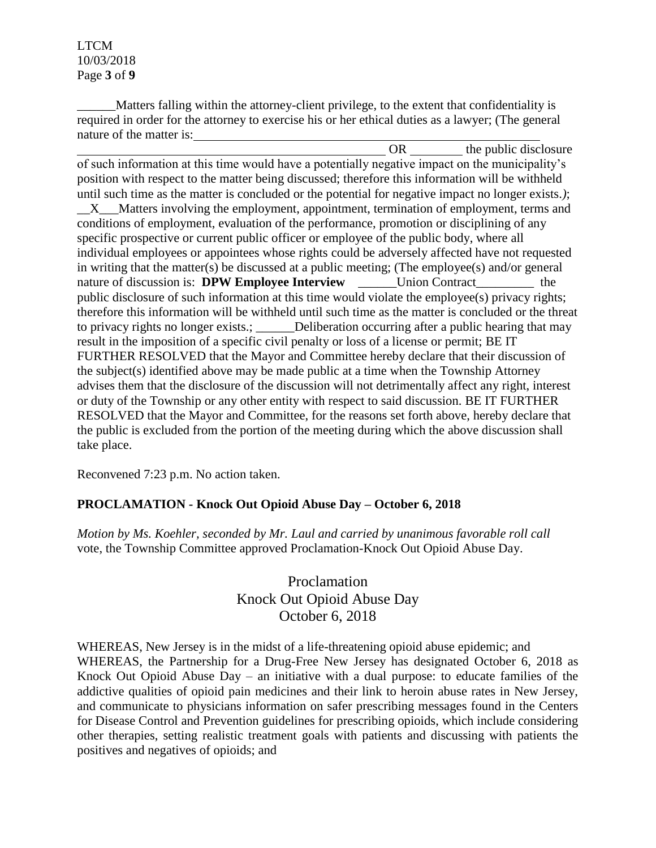LTCM 10/03/2018 Page **3** of **9**

Matters falling within the attorney-client privilege, to the extent that confidentiality is required in order for the attorney to exercise his or her ethical duties as a lawyer; (The general nature of the matter is:

OR the public disclosure of such information at this time would have a potentially negative impact on the municipality's position with respect to the matter being discussed; therefore this information will be withheld until such time as the matter is concluded or the potential for negative impact no longer exists.*)*;

\_\_X\_\_\_Matters involving the employment, appointment, termination of employment, terms and conditions of employment, evaluation of the performance, promotion or disciplining of any specific prospective or current public officer or employee of the public body, where all individual employees or appointees whose rights could be adversely affected have not requested in writing that the matter(s) be discussed at a public meeting; (The employee(s) and/or general nature of discussion is: **DPW Employee Interview** Union Contract the public disclosure of such information at this time would violate the employee(s) privacy rights; therefore this information will be withheld until such time as the matter is concluded or the threat to privacy rights no longer exists.; Deliberation occurring after a public hearing that may result in the imposition of a specific civil penalty or loss of a license or permit; BE IT FURTHER RESOLVED that the Mayor and Committee hereby declare that their discussion of the subject(s) identified above may be made public at a time when the Township Attorney advises them that the disclosure of the discussion will not detrimentally affect any right, interest or duty of the Township or any other entity with respect to said discussion. BE IT FURTHER RESOLVED that the Mayor and Committee, for the reasons set forth above, hereby declare that the public is excluded from the portion of the meeting during which the above discussion shall take place.

Reconvened 7:23 p.m. No action taken.

# **PROCLAMATION - Knock Out Opioid Abuse Day – October 6, 2018**

*Motion by Ms. Koehler, seconded by Mr. Laul and carried by unanimous favorable roll call*  vote, the Township Committee approved Proclamation-Knock Out Opioid Abuse Day.

> Proclamation Knock Out Opioid Abuse Day October 6, 2018

WHEREAS, New Jersey is in the midst of a life-threatening opioid abuse epidemic; and WHEREAS, the Partnership for a Drug-Free New Jersey has designated October 6, 2018 as Knock Out Opioid Abuse Day – an initiative with a dual purpose: to educate families of the addictive qualities of opioid pain medicines and their link to heroin abuse rates in New Jersey, and communicate to physicians information on safer prescribing messages found in the Centers for Disease Control and Prevention guidelines for prescribing opioids, which include considering other therapies, setting realistic treatment goals with patients and discussing with patients the positives and negatives of opioids; and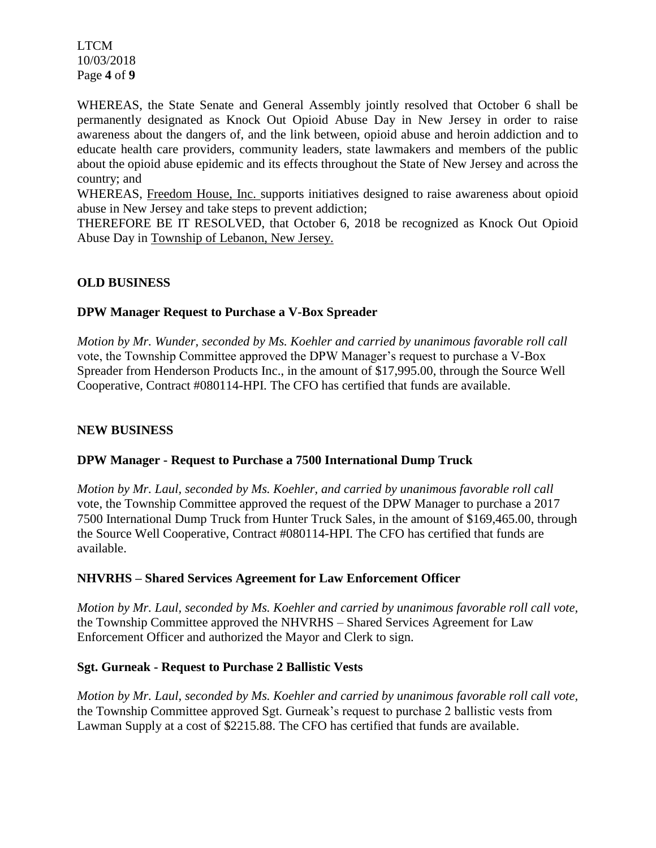LTCM 10/03/2018 Page **4** of **9**

WHEREAS, the State Senate and General Assembly jointly resolved that October 6 shall be permanently designated as Knock Out Opioid Abuse Day in New Jersey in order to raise awareness about the dangers of, and the link between, opioid abuse and heroin addiction and to educate health care providers, community leaders, state lawmakers and members of the public about the opioid abuse epidemic and its effects throughout the State of New Jersey and across the country; and

WHEREAS, Freedom House, Inc. supports initiatives designed to raise awareness about opioid abuse in New Jersey and take steps to prevent addiction;

THEREFORE BE IT RESOLVED, that October 6, 2018 be recognized as Knock Out Opioid Abuse Day in Township of Lebanon, New Jersey.

### **OLD BUSINESS**

#### **DPW Manager Request to Purchase a V-Box Spreader**

*Motion by Mr. Wunder, seconded by Ms. Koehler and carried by unanimous favorable roll call*  vote, the Township Committee approved the DPW Manager's request to purchase a V-Box Spreader from Henderson Products Inc., in the amount of \$17,995.00, through the Source Well Cooperative, Contract #080114-HPI. The CFO has certified that funds are available.

#### **NEW BUSINESS**

#### **DPW Manager - Request to Purchase a 7500 International Dump Truck**

*Motion by Mr. Laul, seconded by Ms. Koehler, and carried by unanimous favorable roll call*  vote, the Township Committee approved the request of the DPW Manager to purchase a 2017 7500 International Dump Truck from Hunter Truck Sales, in the amount of \$169,465.00, through the Source Well Cooperative, Contract #080114-HPI. The CFO has certified that funds are available.

#### **NHVRHS – Shared Services Agreement for Law Enforcement Officer**

*Motion by Mr. Laul, seconded by Ms. Koehler and carried by unanimous favorable roll call vote,*  the Township Committee approved the NHVRHS – Shared Services Agreement for Law Enforcement Officer and authorized the Mayor and Clerk to sign.

#### **Sgt. Gurneak - Request to Purchase 2 Ballistic Vests**

*Motion by Mr. Laul, seconded by Ms. Koehler and carried by unanimous favorable roll call vote,* the Township Committee approved Sgt. Gurneak's request to purchase 2 ballistic vests from Lawman Supply at a cost of \$2215.88. The CFO has certified that funds are available.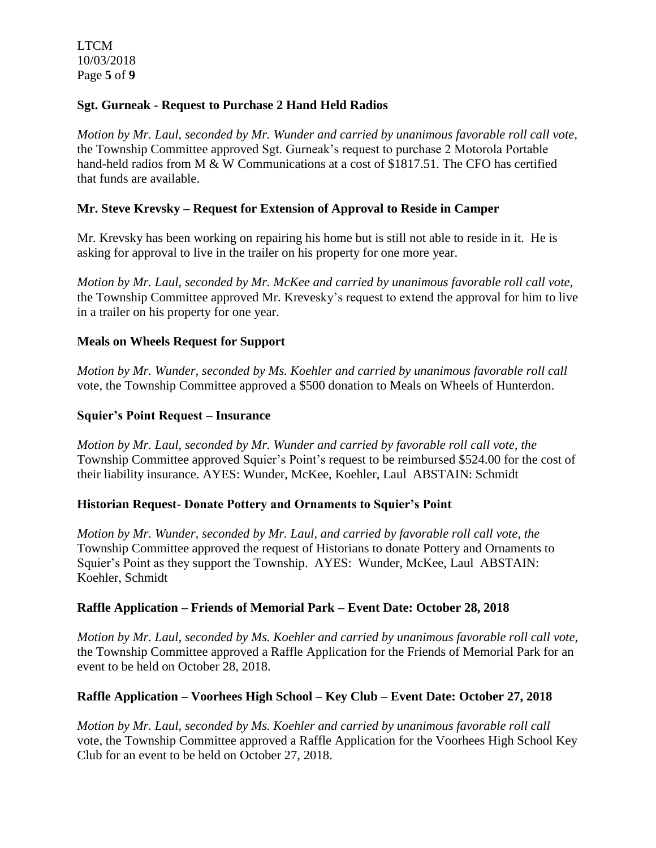LTCM 10/03/2018 Page **5** of **9**

### **Sgt. Gurneak - Request to Purchase 2 Hand Held Radios**

*Motion by Mr. Laul, seconded by Mr. Wunder and carried by unanimous favorable roll call vote,*  the Township Committee approved Sgt. Gurneak's request to purchase 2 Motorola Portable hand-held radios from M & W Communications at a cost of \$1817.51. The CFO has certified that funds are available.

#### **Mr. Steve Krevsky – Request for Extension of Approval to Reside in Camper**

Mr. Krevsky has been working on repairing his home but is still not able to reside in it. He is asking for approval to live in the trailer on his property for one more year.

*Motion by Mr. Laul, seconded by Mr. McKee and carried by unanimous favorable roll call vote,*  the Township Committee approved Mr. Krevesky's request to extend the approval for him to live in a trailer on his property for one year.

#### **Meals on Wheels Request for Support**

*Motion by Mr. Wunder, seconded by Ms. Koehler and carried by unanimous favorable roll call*  vote*,* the Township Committee approved a \$500 donation to Meals on Wheels of Hunterdon.

### **Squier's Point Request – Insurance**

*Motion by Mr. Laul, seconded by Mr. Wunder and carried by favorable roll call vote, the*  Township Committee approved Squier's Point's request to be reimbursed \$524.00 for the cost of their liability insurance. AYES: Wunder, McKee, Koehler, Laul ABSTAIN: Schmidt

#### **Historian Request- Donate Pottery and Ornaments to Squier's Point**

*Motion by Mr. Wunder, seconded by Mr. Laul, and carried by favorable roll call vote, the*  Township Committee approved the request of Historians to donate Pottery and Ornaments to Squier's Point as they support the Township. AYES: Wunder, McKee, Laul ABSTAIN: Koehler, Schmidt

#### **Raffle Application – Friends of Memorial Park – Event Date: October 28, 2018**

*Motion by Mr. Laul, seconded by Ms. Koehler and carried by unanimous favorable roll call vote,*  the Township Committee approved a Raffle Application for the Friends of Memorial Park for an event to be held on October 28, 2018.

# **Raffle Application – Voorhees High School – Key Club – Event Date: October 27, 2018**

*Motion by Mr. Laul, seconded by Ms. Koehler and carried by unanimous favorable roll call*  vote, the Township Committee approved a Raffle Application for the Voorhees High School Key Club for an event to be held on October 27, 2018.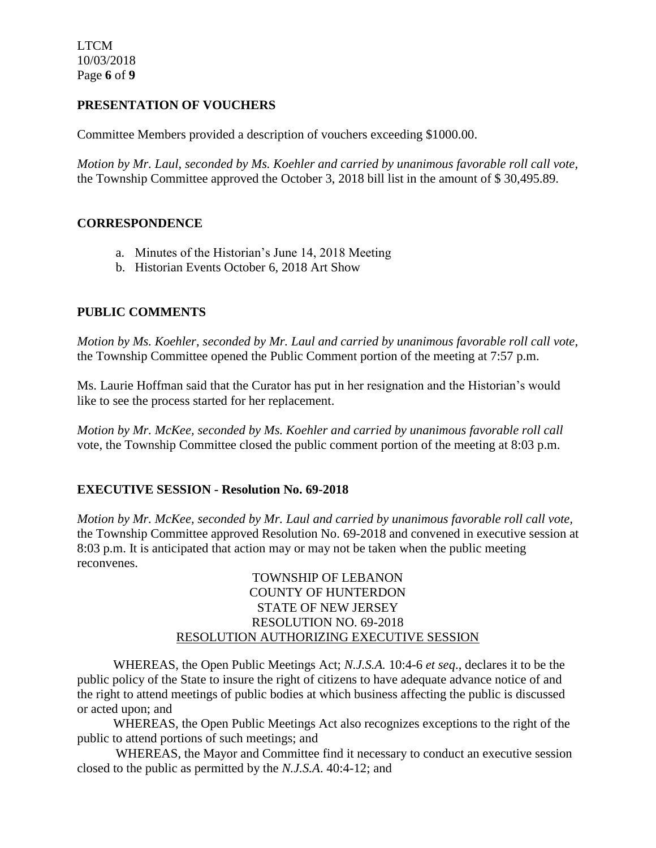LTCM 10/03/2018 Page **6** of **9**

# **PRESENTATION OF VOUCHERS**

Committee Members provided a description of vouchers exceeding \$1000.00.

*Motion by Mr. Laul, seconded by Ms. Koehler and carried by unanimous favorable roll call vote,*  the Township Committee approved the October 3, 2018 bill list in the amount of \$ 30,495.89.

### **CORRESPONDENCE**

- a. Minutes of the Historian's June 14, 2018 Meeting
- b. Historian Events October 6, 2018 Art Show

# **PUBLIC COMMENTS**

*Motion by Ms. Koehler, seconded by Mr. Laul and carried by unanimous favorable roll call vote,* the Township Committee opened the Public Comment portion of the meeting at 7:57 p.m.

Ms. Laurie Hoffman said that the Curator has put in her resignation and the Historian's would like to see the process started for her replacement.

*Motion by Mr. McKee, seconded by Ms. Koehler and carried by unanimous favorable roll call*  vote, the Township Committee closed the public comment portion of the meeting at 8:03 p.m.

# **EXECUTIVE SESSION - Resolution No. 69-2018**

*Motion by Mr. McKee, seconded by Mr. Laul and carried by unanimous favorable roll call vote,* the Township Committee approved Resolution No. 69-2018 and convened in executive session at 8:03 p.m. It is anticipated that action may or may not be taken when the public meeting reconvenes.

> TOWNSHIP OF LEBANON COUNTY OF HUNTERDON STATE OF NEW JERSEY RESOLUTION NO. 69-2018 RESOLUTION AUTHORIZING EXECUTIVE SESSION

WHEREAS, the Open Public Meetings Act; *N.J.S.A.* 10:4-6 *et seq*., declares it to be the public policy of the State to insure the right of citizens to have adequate advance notice of and the right to attend meetings of public bodies at which business affecting the public is discussed or acted upon; and

WHEREAS, the Open Public Meetings Act also recognizes exceptions to the right of the public to attend portions of such meetings; and

 WHEREAS, the Mayor and Committee find it necessary to conduct an executive session closed to the public as permitted by the *N.J.S.A*. 40:4-12; and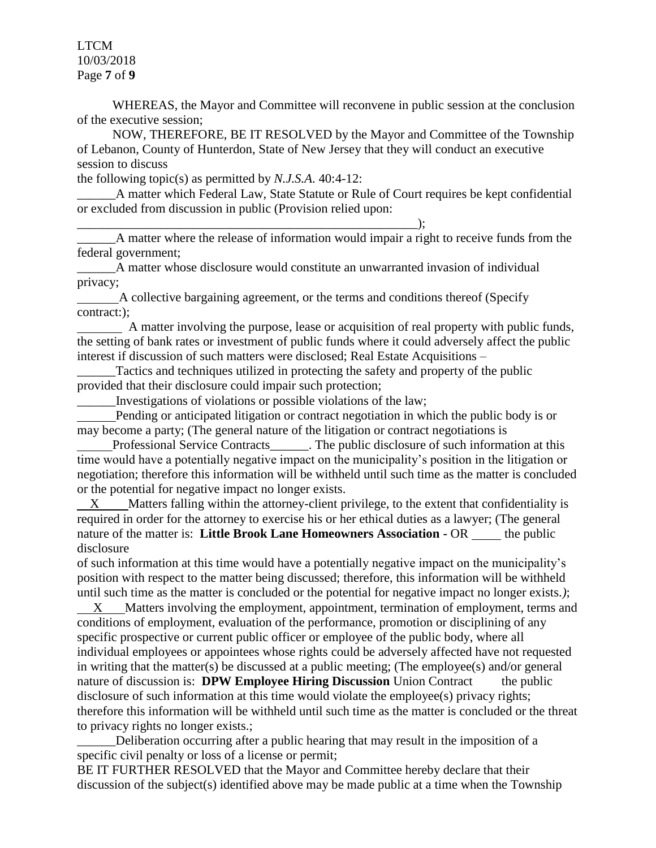LTCM 10/03/2018 Page **7** of **9**

 WHEREAS, the Mayor and Committee will reconvene in public session at the conclusion of the executive session;

 NOW, THEREFORE, BE IT RESOLVED by the Mayor and Committee of the Township of Lebanon, County of Hunterdon, State of New Jersey that they will conduct an executive session to discuss

the following topic(s) as permitted by *N.J.S.A*. 40:4-12:

\_\_\_\_\_\_\_\_\_\_\_\_\_\_\_\_\_\_\_\_\_\_\_\_\_\_\_\_\_\_\_\_\_\_\_\_\_\_\_\_\_\_\_\_\_\_\_\_\_\_\_\_\_);

\_\_\_\_\_\_A matter which Federal Law, State Statute or Rule of Court requires be kept confidential or excluded from discussion in public (Provision relied upon:

\_\_\_\_\_\_A matter where the release of information would impair a right to receive funds from the federal government;

A matter whose disclosure would constitute an unwarranted invasion of individual privacy;

 A collective bargaining agreement, or the terms and conditions thereof (Specify contract:);

 A matter involving the purpose, lease or acquisition of real property with public funds, the setting of bank rates or investment of public funds where it could adversely affect the public interest if discussion of such matters were disclosed; Real Estate Acquisitions –

\_\_\_\_\_\_Tactics and techniques utilized in protecting the safety and property of the public provided that their disclosure could impair such protection;

\_\_\_\_\_\_Investigations of violations or possible violations of the law;

 Pending or anticipated litigation or contract negotiation in which the public body is or may become a party; (The general nature of the litigation or contract negotiations is

Professional Service Contracts\_\_\_\_\_\_. The public disclosure of such information at this time would have a potentially negative impact on the municipality's position in the litigation or negotiation; therefore this information will be withheld until such time as the matter is concluded or the potential for negative impact no longer exists.

 X Matters falling within the attorney-client privilege, to the extent that confidentiality is required in order for the attorney to exercise his or her ethical duties as a lawyer; (The general nature of the matter is: **Little Brook Lane Homeowners Association -** OR the public disclosure

of such information at this time would have a potentially negative impact on the municipality's position with respect to the matter being discussed; therefore, this information will be withheld until such time as the matter is concluded or the potential for negative impact no longer exists.*)*;

 X Matters involving the employment, appointment, termination of employment, terms and conditions of employment, evaluation of the performance, promotion or disciplining of any specific prospective or current public officer or employee of the public body, where all individual employees or appointees whose rights could be adversely affected have not requested in writing that the matter(s) be discussed at a public meeting; (The employee(s) and/or general nature of discussion is: **DPW Employee Hiring Discussion** Union Contractthe public disclosure of such information at this time would violate the employee(s) privacy rights; therefore this information will be withheld until such time as the matter is concluded or the threat to privacy rights no longer exists.;

\_\_\_\_\_\_Deliberation occurring after a public hearing that may result in the imposition of a specific civil penalty or loss of a license or permit;

BE IT FURTHER RESOLVED that the Mayor and Committee hereby declare that their discussion of the subject(s) identified above may be made public at a time when the Township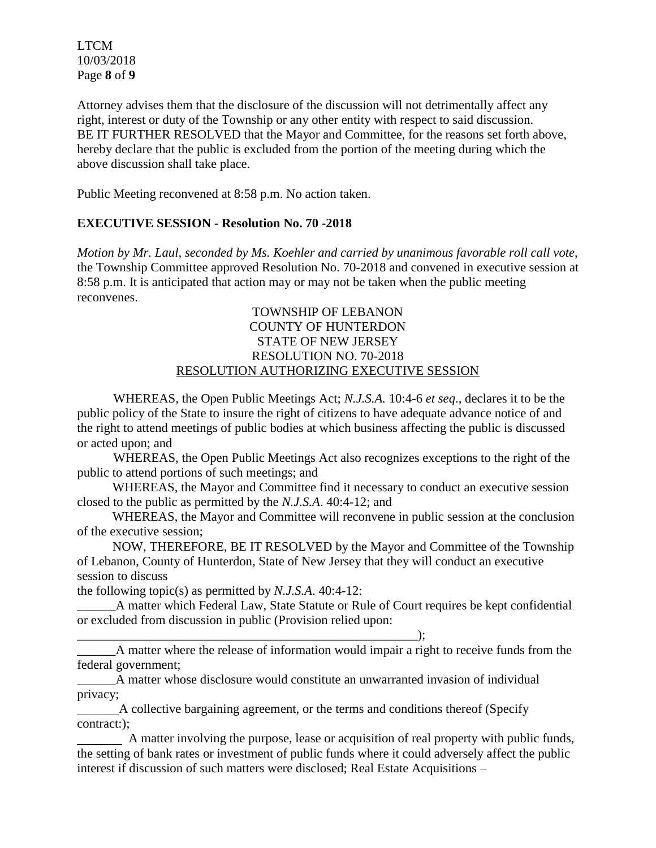LTCM 10/03/2018 Page **8** of **9**

Attorney advises them that the disclosure of the discussion will not detrimentally affect any right, interest or duty of the Township or any other entity with respect to said discussion. BE IT FURTHER RESOLVED that the Mayor and Committee, for the reasons set forth above, hereby declare that the public is excluded from the portion of the meeting during which the above discussion shall take place.

Public Meeting reconvened at 8:58 p.m. No action taken.

# **EXECUTIVE SESSION - Resolution No. 70 -2018**

*Motion by Mr. Laul, seconded by Ms. Koehler and carried by unanimous favorable roll call vote,* the Township Committee approved Resolution No. 70-2018 and convened in executive session at 8:58 p.m. It is anticipated that action may or may not be taken when the public meeting reconvenes.

### TOWNSHIP OF LEBANON COUNTY OF HUNTERDON STATE OF NEW JERSEY RESOLUTION NO. 70-2018 RESOLUTION AUTHORIZING EXECUTIVE SESSION

WHEREAS, the Open Public Meetings Act; *N.J.S.A.* 10:4-6 *et seq*., declares it to be the public policy of the State to insure the right of citizens to have adequate advance notice of and the right to attend meetings of public bodies at which business affecting the public is discussed or acted upon; and

WHEREAS, the Open Public Meetings Act also recognizes exceptions to the right of the public to attend portions of such meetings; and

 WHEREAS, the Mayor and Committee find it necessary to conduct an executive session closed to the public as permitted by the *N.J.S.A*. 40:4-12; and

 WHEREAS, the Mayor and Committee will reconvene in public session at the conclusion of the executive session;

 NOW, THEREFORE, BE IT RESOLVED by the Mayor and Committee of the Township of Lebanon, County of Hunterdon, State of New Jersey that they will conduct an executive session to discuss

the following topic(s) as permitted by *N.J.S.A*. 40:4-12:

\_\_\_\_\_\_\_\_\_\_\_\_\_\_\_\_\_\_\_\_\_\_\_\_\_\_\_\_\_\_\_\_\_\_\_\_\_\_\_\_\_\_\_\_\_\_\_\_\_\_\_\_\_);

\_\_\_\_\_\_A matter which Federal Law, State Statute or Rule of Court requires be kept confidential or excluded from discussion in public (Provision relied upon:

\_\_\_\_\_\_A matter where the release of information would impair a right to receive funds from the federal government;

\_\_\_\_\_\_A matter whose disclosure would constitute an unwarranted invasion of individual privacy;

 A collective bargaining agreement, or the terms and conditions thereof (Specify contract:);

 A matter involving the purpose, lease or acquisition of real property with public funds, the setting of bank rates or investment of public funds where it could adversely affect the public interest if discussion of such matters were disclosed; Real Estate Acquisitions –